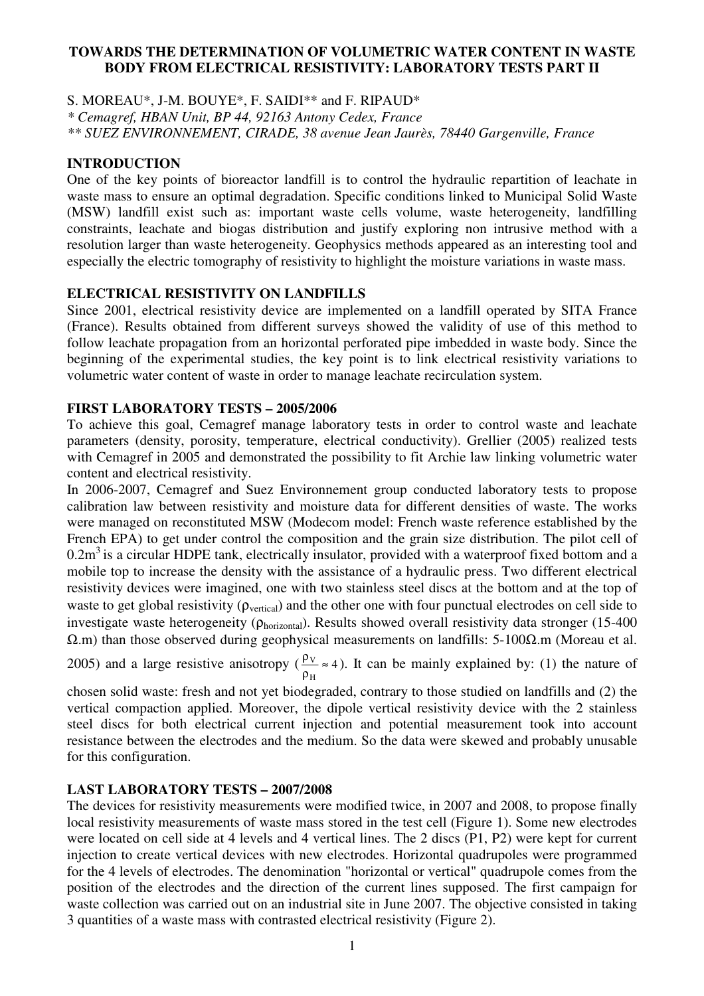#### **TOWARDS THE DETERMINATION OF VOLUMETRIC WATER CONTENT IN WASTE BODY FROM ELECTRICAL RESISTIVITY: LABORATORY TESTS PART II**

S. MOREAU\*, J-M. BOUYE\*, F. SAIDI\*\* and F. RIPAUD\* *\* Cemagref, HBAN Unit, BP 44, 92163 Antony Cedex, France \*\* SUEZ ENVIRONNEMENT, CIRADE, 38 avenue Jean Jaurès, 78440 Gargenville, France* 

#### **INTRODUCTION**

One of the key points of bioreactor landfill is to control the hydraulic repartition of leachate in waste mass to ensure an optimal degradation. Specific conditions linked to Municipal Solid Waste (MSW) landfill exist such as: important waste cells volume, waste heterogeneity, landfilling constraints, leachate and biogas distribution and justify exploring non intrusive method with a resolution larger than waste heterogeneity. Geophysics methods appeared as an interesting tool and especially the electric tomography of resistivity to highlight the moisture variations in waste mass.

# **ELECTRICAL RESISTIVITY ON LANDFILLS**

Since 2001, electrical resistivity device are implemented on a landfill operated by SITA France (France). Results obtained from different surveys showed the validity of use of this method to follow leachate propagation from an horizontal perforated pipe imbedded in waste body. Since the beginning of the experimental studies, the key point is to link electrical resistivity variations to volumetric water content of waste in order to manage leachate recirculation system.

# **FIRST LABORATORY TESTS – 2005/2006**

To achieve this goal, Cemagref manage laboratory tests in order to control waste and leachate parameters (density, porosity, temperature, electrical conductivity). Grellier (2005) realized tests with Cemagref in 2005 and demonstrated the possibility to fit Archie law linking volumetric water content and electrical resistivity.

In 2006-2007, Cemagref and Suez Environnement group conducted laboratory tests to propose calibration law between resistivity and moisture data for different densities of waste. The works were managed on reconstituted MSW (Modecom model: French waste reference established by the French EPA) to get under control the composition and the grain size distribution. The pilot cell of  $0.2m<sup>3</sup>$  is a circular HDPE tank, electrically insulator, provided with a waterproof fixed bottom and a mobile top to increase the density with the assistance of a hydraulic press. Two different electrical resistivity devices were imagined, one with two stainless steel discs at the bottom and at the top of waste to get global resistivity ( $\rho_{\text{vertical}}$ ) and the other one with four punctual electrodes on cell side to investigate waste heterogeneity (ρhorizontal). Results showed overall resistivity data stronger (15-400 Ω.m) than those observed during geophysical measurements on landfills: 5-100Ω.m (Moreau et al.

2005) and a large resistive anisotropy ( $\frac{PV}{A} \approx 4$ H  $\frac{PV}{PH}$  ≈  $\frac{\rho_V}{\rho} \approx 4$ ). It can be mainly explained by: (1) the nature of

chosen solid waste: fresh and not yet biodegraded, contrary to those studied on landfills and (2) the vertical compaction applied. Moreover, the dipole vertical resistivity device with the 2 stainless steel discs for both electrical current injection and potential measurement took into account resistance between the electrodes and the medium. So the data were skewed and probably unusable for this configuration.

# **LAST LABORATORY TESTS – 2007/2008**

The devices for resistivity measurements were modified twice, in 2007 and 2008, to propose finally local resistivity measurements of waste mass stored in the test cell (Figure 1). Some new electrodes were located on cell side at 4 levels and 4 vertical lines. The 2 discs (P1, P2) were kept for current injection to create vertical devices with new electrodes. Horizontal quadrupoles were programmed for the 4 levels of electrodes. The denomination "horizontal or vertical" quadrupole comes from the position of the electrodes and the direction of the current lines supposed. The first campaign for waste collection was carried out on an industrial site in June 2007. The objective consisted in taking 3 quantities of a waste mass with contrasted electrical resistivity (Figure 2).